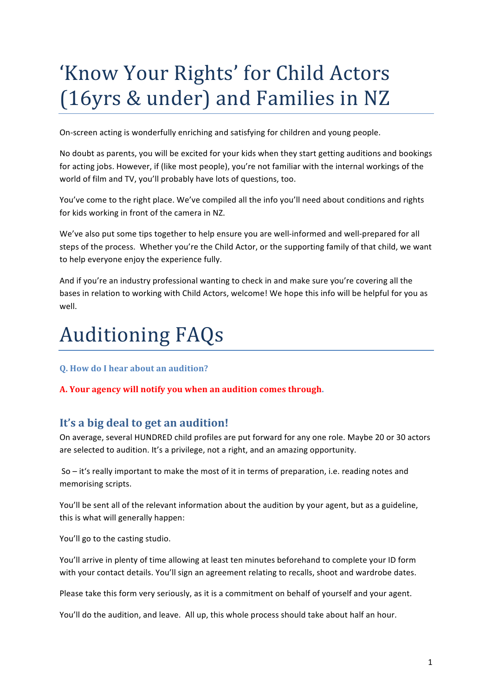# 'Know Your Rights' for Child Actors (16yrs & under) and Families in NZ

On-screen acting is wonderfully enriching and satisfying for children and young people.

No doubt as parents, you will be excited for your kids when they start getting auditions and bookings for acting jobs. However, if (like most people), you're not familiar with the internal workings of the world of film and TV, you'll probably have lots of questions, too.

You've come to the right place. We've compiled all the info you'll need about conditions and rights for kids working in front of the camera in NZ.

We've also put some tips together to help ensure you are well-informed and well-prepared for all steps of the process. Whether you're the Child Actor, or the supporting family of that child, we want to help everyone enjoy the experience fully.

And if you're an industry professional wanting to check in and make sure you're covering all the bases in relation to working with Child Actors, welcome! We hope this info will be helpful for you as well.

# **Auditioning FAQs**

**Q.** How do I hear about an audition?

A. Your agency will notify you when an audition comes through.

# It's a big deal to get an audition!

On average, several HUNDRED child profiles are put forward for any one role. Maybe 20 or 30 actors are selected to audition. It's a privilege, not a right, and an amazing opportunity.

So – it's really important to make the most of it in terms of preparation, i.e. reading notes and memorising scripts.

You'll be sent all of the relevant information about the audition by your agent, but as a guideline, this is what will generally happen:

You'll go to the casting studio.

You'll arrive in plenty of time allowing at least ten minutes beforehand to complete your ID form with your contact details. You'll sign an agreement relating to recalls, shoot and wardrobe dates.

Please take this form very seriously, as it is a commitment on behalf of yourself and your agent.

You'll do the audition, and leave. All up, this whole process should take about half an hour.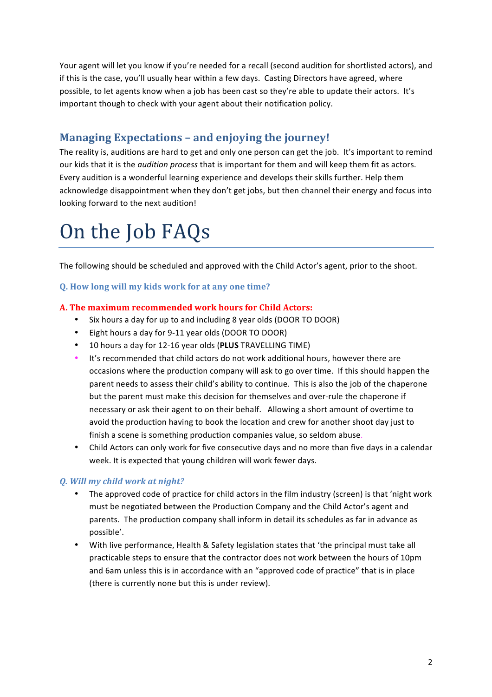Your agent will let you know if you're needed for a recall (second audition for shortlisted actors), and if this is the case, you'll usually hear within a few days. Casting Directors have agreed, where possible, to let agents know when a job has been cast so they're able to update their actors. It's important though to check with your agent about their notification policy.

# **Managing Expectations - and enjoying the journey!**

The reality is, auditions are hard to get and only one person can get the job. It's important to remind our kids that it is the *audition process* that is important for them and will keep them fit as actors. Every audition is a wonderful learning experience and develops their skills further. Help them acknowledge disappointment when they don't get jobs, but then channel their energy and focus into looking forward to the next audition!

# On the Job FAQs

The following should be scheduled and approved with the Child Actor's agent, prior to the shoot.

## **Q.** How long will my kids work for at any one time?

#### **A. The maximum recommended work hours for Child Actors:**

- Six hours a day for up to and including 8 year olds (DOOR TO DOOR)
- Eight hours a day for 9-11 year olds (DOOR TO DOOR)
- 10 hours a day for 12-16 year olds (PLUS TRAVELLING TIME)
- It's recommended that child actors do not work additional hours, however there are occasions where the production company will ask to go over time. If this should happen the parent needs to assess their child's ability to continue. This is also the job of the chaperone but the parent must make this decision for themselves and over-rule the chaperone if necessary or ask their agent to on their behalf. Allowing a short amount of overtime to avoid the production having to book the location and crew for another shoot day just to finish a scene is something production companies value, so seldom abuse.
- Child Actors can only work for five consecutive days and no more than five days in a calendar week. It is expected that young children will work fewer days.

# *Q. Will my child work at night?*

- The approved code of practice for child actors in the film industry (screen) is that 'night work must be negotiated between the Production Company and the Child Actor's agent and parents. The production company shall inform in detail its schedules as far in advance as possible'.
- With live performance, Health & Safety legislation states that 'the principal must take all practicable steps to ensure that the contractor does not work between the hours of 10pm and 6am unless this is in accordance with an "approved code of practice" that is in place (there is currently none but this is under review).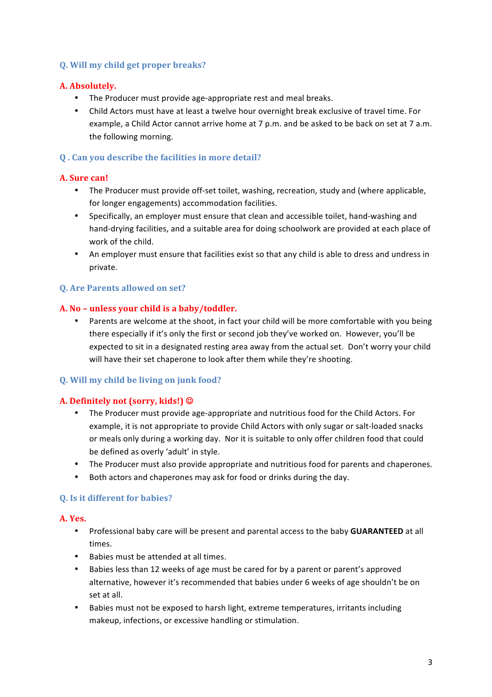#### **Q. Will my child get proper breaks?**

#### A. Absolutely.

- The Producer must provide age-appropriate rest and meal breaks.
- Child Actors must have at least a twelve hour overnight break exclusive of travel time. For example, a Child Actor cannot arrive home at  $7$  p.m. and be asked to be back on set at  $7$  a.m. the following morning.

# **Q**. Can you describe the facilities in more detail?

#### **A. Sure can!**

- The Producer must provide off-set toilet, washing, recreation, study and (where applicable, for longer engagements) accommodation facilities.
- Specifically, an employer must ensure that clean and accessible toilet, hand-washing and hand-drying facilities, and a suitable area for doing schoolwork are provided at each place of work of the child.
- An employer must ensure that facilities exist so that any child is able to dress and undress in private.

## **Q.** Are Parents allowed on set?

#### A. No – unless your child is a baby/toddler.

• Parents are welcome at the shoot, in fact your child will be more comfortable with you being there especially if it's only the first or second job they've worked on. However, you'll be expected to sit in a designated resting area away from the actual set. Don't worry your child will have their set chaperone to look after them while they're shooting.

#### **Q.** Will my child be living on junk food?

#### **A.** Definitely not (sorry, kids!)  $\odot$

- The Producer must provide age-appropriate and nutritious food for the Child Actors. For example, it is not appropriate to provide Child Actors with only sugar or salt-loaded snacks or meals only during a working day. Nor it is suitable to only offer children food that could be defined as overly 'adult' in style.
- The Producer must also provide appropriate and nutritious food for parents and chaperones.
- Both actors and chaperones may ask for food or drinks during the day.

#### **Q.** Is it different for babies?

#### **A. Yes.**

- Professional baby care will be present and parental access to the baby **GUARANTEED** at all times.
- Babies must be attended at all times.
- Babies less than 12 weeks of age must be cared for by a parent or parent's approved alternative, however it's recommended that babies under 6 weeks of age shouldn't be on set at all.
- Babies must not be exposed to harsh light, extreme temperatures, irritants including makeup, infections, or excessive handling or stimulation.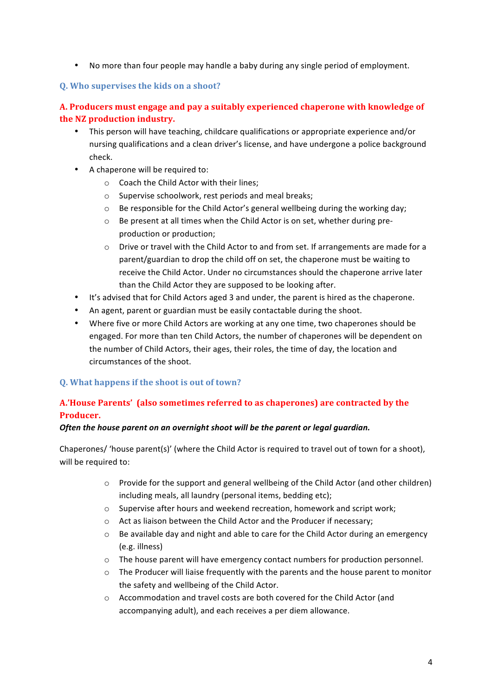• No more than four people may handle a baby during any single period of employment.

#### **Q. Who supervises the kids on a shoot?**

# A. Producers must engage and pay a suitably experienced chaperone with knowledge of **the NZ production industry.**

- This person will have teaching, childcare qualifications or appropriate experience and/or nursing qualifications and a clean driver's license, and have undergone a police background check.
- A chaperone will be required to:
	- $\circ$  Coach the Child Actor with their lines;
	- $\circ$  Supervise schoolwork, rest periods and meal breaks:
	- $\circ$  Be responsible for the Child Actor's general wellbeing during the working day;
	- o Be present at all times when the Child Actor is on set, whether during preproduction or production;
	- $\circ$  Drive or travel with the Child Actor to and from set. If arrangements are made for a parent/guardian to drop the child off on set, the chaperone must be waiting to receive the Child Actor. Under no circumstances should the chaperone arrive later than the Child Actor they are supposed to be looking after.
- It's advised that for Child Actors aged 3 and under, the parent is hired as the chaperone.
- An agent, parent or guardian must be easily contactable during the shoot.
- Where five or more Child Actors are working at any one time, two chaperones should be engaged. For more than ten Child Actors, the number of chaperones will be dependent on the number of Child Actors, their ages, their roles, the time of day, the location and circumstances of the shoot.

#### **Q.** What happens if the shoot is out of town?

# A.'House Parents' (also sometimes referred to as chaperones) are contracted by the **Producer.**

#### **Often the house parent on an overnight shoot will be the parent or legal guardian.**

Chaperones/ 'house parent(s)' (where the Child Actor is required to travel out of town for a shoot), will be required to:

- $\circ$  Provide for the support and general wellbeing of the Child Actor (and other children) including meals, all laundry (personal items, bedding etc);
- $\circ$  Supervise after hours and weekend recreation, homework and script work;
- $\circ$  Act as liaison between the Child Actor and the Producer if necessary:
- $\circ$  Be available day and night and able to care for the Child Actor during an emergency (e.g. illness)
- $\circ$  The house parent will have emergency contact numbers for production personnel.
- $\circ$  The Producer will liaise frequently with the parents and the house parent to monitor the safety and wellbeing of the Child Actor.
- $\circ$  Accommodation and travel costs are both covered for the Child Actor (and accompanying adult), and each receives a per diem allowance.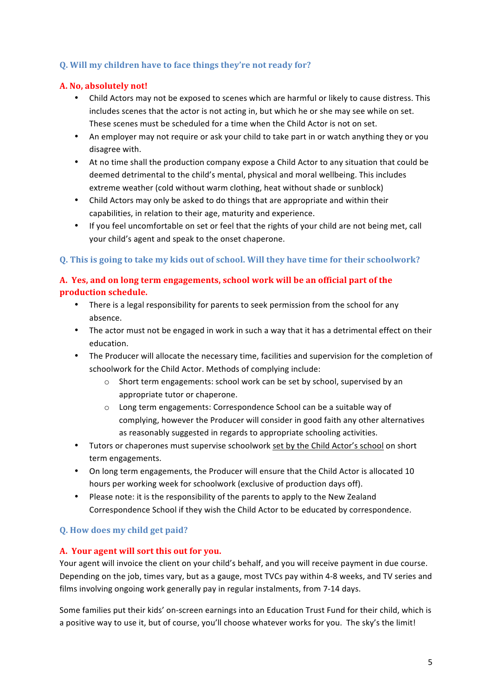## **Q.** Will my children have to face things they're not ready for?

#### **A. No, absolutely not!**

- Child Actors may not be exposed to scenes which are harmful or likely to cause distress. This includes scenes that the actor is not acting in, but which he or she may see while on set. These scenes must be scheduled for a time when the Child Actor is not on set.
- An employer may not require or ask your child to take part in or watch anything they or you disagree with.
- At no time shall the production company expose a Child Actor to any situation that could be deemed detrimental to the child's mental, physical and moral wellbeing. This includes extreme weather (cold without warm clothing, heat without shade or sunblock)
- Child Actors may only be asked to do things that are appropriate and within their capabilities, in relation to their age, maturity and experience.
- If you feel uncomfortable on set or feel that the rights of your child are not being met, call your child's agent and speak to the onset chaperone.

#### **Q.** This is going to take my kids out of school. Will they have time for their schoolwork?

# A. Yes, and on long term engagements, school work will be an official part of the **production schedule.**

- There is a legal responsibility for parents to seek permission from the school for any absence.
- The actor must not be engaged in work in such a way that it has a detrimental effect on their education.
- The Producer will allocate the necessary time, facilities and supervision for the completion of schoolwork for the Child Actor. Methods of complying include:
	- $\circ$  Short term engagements: school work can be set by school, supervised by an appropriate tutor or chaperone.
	- o Long term engagements: Correspondence School can be a suitable way of complying, however the Producer will consider in good faith any other alternatives as reasonably suggested in regards to appropriate schooling activities.
- Tutors or chaperones must supervise schoolwork set by the Child Actor's school on short term engagements.
- On long term engagements, the Producer will ensure that the Child Actor is allocated 10 hours per working week for schoolwork (exclusive of production days off).
- Please note: it is the responsibility of the parents to apply to the New Zealand Correspondence School if they wish the Child Actor to be educated by correspondence.

#### **Q.** How does my child get paid?

#### A. Your agent will sort this out for you.

Your agent will invoice the client on your child's behalf, and you will receive payment in due course. Depending on the job, times vary, but as a gauge, most TVCs pay within 4-8 weeks, and TV series and films involving ongoing work generally pay in regular instalments, from 7-14 days.

Some families put their kids' on-screen earnings into an Education Trust Fund for their child, which is a positive way to use it, but of course, you'll choose whatever works for you. The sky's the limit!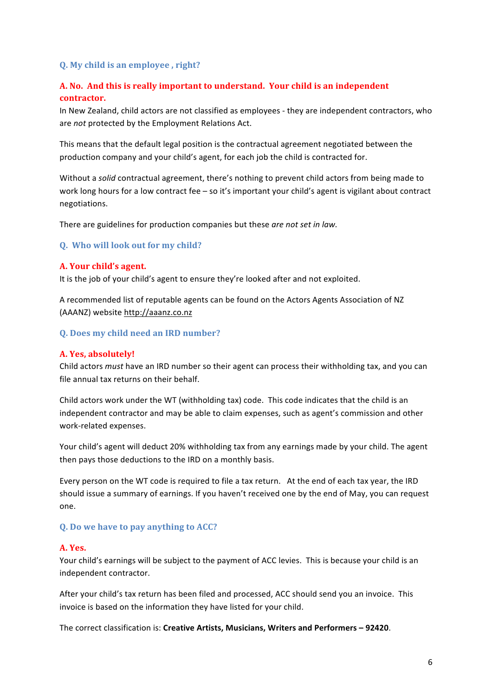#### **Q. My child is an employee , right?**

## A. No. And this is really important to understand. Your child is an independent **contractor.**

In New Zealand, child actors are not classified as employees - they are independent contractors, who are *not* protected by the Employment Relations Act.

This means that the default legal position is the contractual agreement negotiated between the production company and your child's agent, for each job the child is contracted for.

Without a *solid* contractual agreement, there's nothing to prevent child actors from being made to work long hours for a low contract fee – so it's important your child's agent is vigilant about contract negotiations.

There are guidelines for production companies but these *are not set in law*.

#### **Q.** Who will look out for my child?

#### **A. Your child's agent.**

It is the job of your child's agent to ensure they're looked after and not exploited.

A recommended list of reputable agents can be found on the Actors Agents Association of NZ (AAANZ) website http://aaanz.co.nz

#### **Q. Does my child need an IRD number?**

#### **A. Yes, absolutely!**

Child actors *must* have an IRD number so their agent can process their withholding tax, and you can file annual tax returns on their behalf.

Child actors work under the WT (withholding tax) code. This code indicates that the child is an independent contractor and may be able to claim expenses, such as agent's commission and other work-related expenses.

Your child's agent will deduct 20% withholding tax from any earnings made by your child. The agent then pays those deductions to the IRD on a monthly basis.

Every person on the WT code is required to file a tax return. At the end of each tax year, the IRD should issue a summary of earnings. If you haven't received one by the end of May, you can request one.

#### **Q.** Do we have to pay anything to ACC?

#### **A. Yes.**

Your child's earnings will be subject to the payment of ACC levies. This is because your child is an independent contractor.

After your child's tax return has been filed and processed, ACC should send you an invoice. This invoice is based on the information they have listed for your child.

The correct classification is: Creative Artists, Musicians, Writers and Performers - 92420.